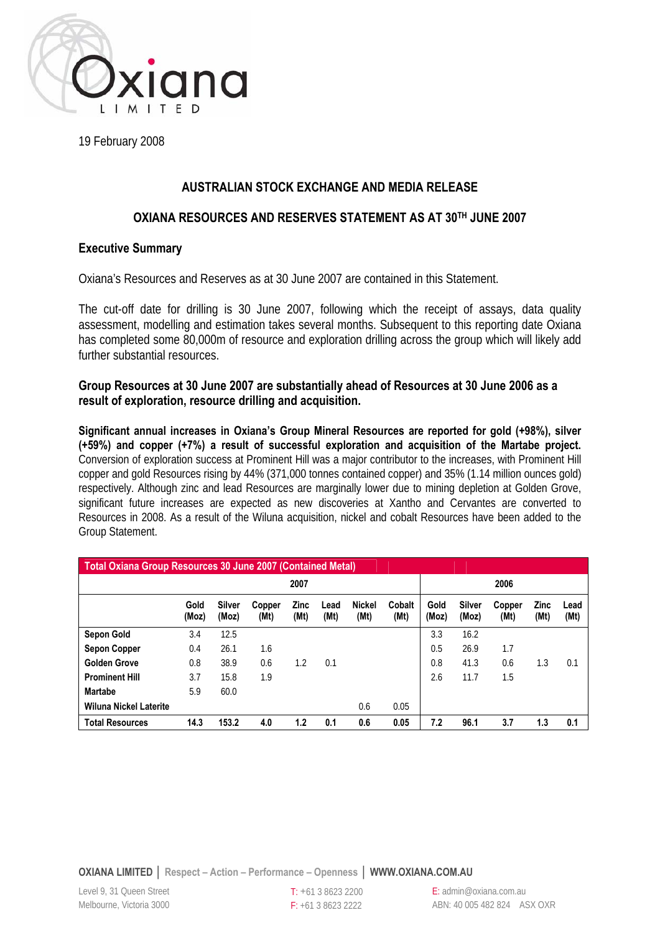

19 February 2008

# **AUSTRALIAN STOCK EXCHANGE AND MEDIA RELEASE**

## **OXIANA RESOURCES AND RESERVES STATEMENT AS AT 30TH JUNE 2007**

## **Executive Summary**

Oxiana's Resources and Reserves as at 30 June 2007 are contained in this Statement.

The cut-off date for drilling is 30 June 2007, following which the receipt of assays, data quality assessment, modelling and estimation takes several months. Subsequent to this reporting date Oxiana has completed some 80,000m of resource and exploration drilling across the group which will likely add further substantial resources.

## **Group Resources at 30 June 2007 are substantially ahead of Resources at 30 June 2006 as a result of exploration, resource drilling and acquisition.**

**Significant annual increases in Oxiana's Group Mineral Resources are reported for gold (+98%), silver (+59%) and copper (+7%) a result of successful exploration and acquisition of the Martabe project.**  Conversion of exploration success at Prominent Hill was a major contributor to the increases, with Prominent Hill copper and gold Resources rising by 44% (371,000 tonnes contained copper) and 35% (1.14 million ounces gold) respectively. Although zinc and lead Resources are marginally lower due to mining depletion at Golden Grove, significant future increases are expected as new discoveries at Xantho and Cervantes are converted to Resources in 2008. As a result of the Wiluna acquisition, nickel and cobalt Resources have been added to the Group Statement.

| Total Oxiana Group Resources 30 June 2007 (Contained Metal) |               |                        |                |                     |              |                       |                |               |                        |                |                     |              |
|-------------------------------------------------------------|---------------|------------------------|----------------|---------------------|--------------|-----------------------|----------------|---------------|------------------------|----------------|---------------------|--------------|
|                                                             |               |                        |                | 2007                |              |                       |                |               |                        | 2006           |                     |              |
|                                                             | Gold<br>(Moz) | <b>Silver</b><br>(Moz) | Copper<br>(Mt) | <b>Zinc</b><br>(Mt) | Lead<br>(Mt) | <b>Nickel</b><br>(Mt) | Cobalt<br>(Mt) | Gold<br>(Moz) | <b>Silver</b><br>(Moz) | Copper<br>(Mt) | <b>Zinc</b><br>(Mt) | Lead<br>(Mt) |
| <b>Sepon Gold</b>                                           | 3.4           | 12.5                   |                |                     |              |                       |                | 3.3           | 16.2                   |                |                     |              |
| <b>Sepon Copper</b>                                         | 0.4           | 26.1                   | 1.6            |                     |              |                       |                | 0.5           | 26.9                   | 1.7            |                     |              |
| <b>Golden Grove</b>                                         | 0.8           | 38.9                   | 0.6            | $1.2\,$             | 0.1          |                       |                | 0.8           | 41.3                   | 0.6            | 1.3                 | 0.1          |
| <b>Prominent Hill</b>                                       | 3.7           | 15.8                   | 1.9            |                     |              |                       |                | 2.6           | 11.7                   | 1.5            |                     |              |
| <b>Martabe</b>                                              | 5.9           | 60.0                   |                |                     |              |                       |                |               |                        |                |                     |              |
| <b>Wiluna Nickel Laterite</b>                               |               |                        |                |                     |              | 0.6                   | 0.05           |               |                        |                |                     |              |
| <b>Total Resources</b>                                      | 14.3          | 153.2                  | 4.0            | 1.2                 | 0.1          | 0.6                   | 0.05           | 7.2           | 96.1                   | 3.7            | 1.3                 | 0.1          |

**OXIANA LIMITED │ Respect – Action – Performance – Openness │ WWW.OXIANA.COM.AU** 

T: +61 3 8623 2200 F: +61 3 8623 2222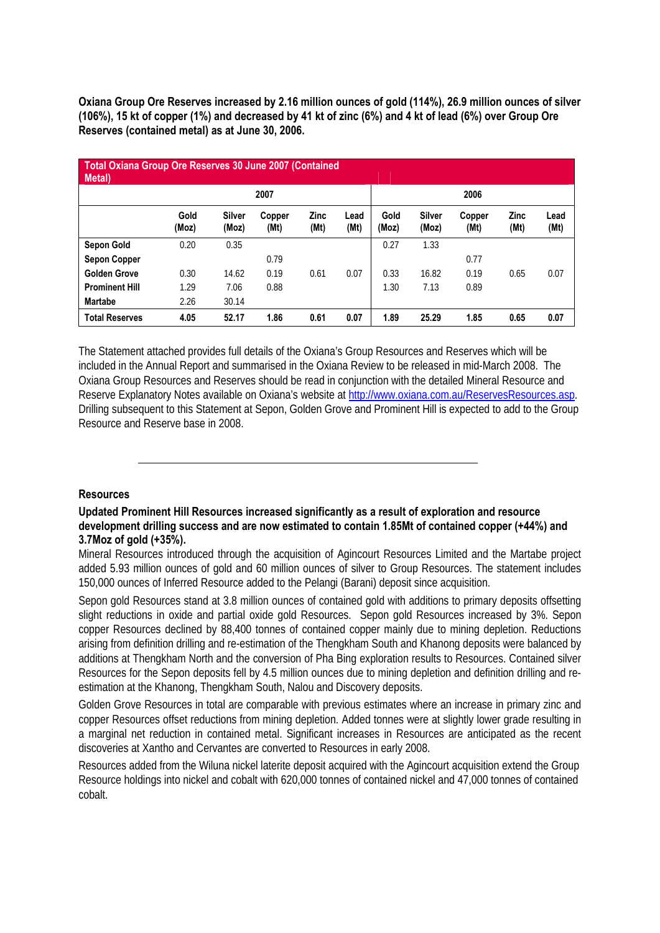**Oxiana Group Ore Reserves increased by 2.16 million ounces of gold (114%), 26.9 million ounces of silver (106%), 15 kt of copper (1%) and decreased by 41 kt of zinc (6%) and 4 kt of lead (6%) over Group Ore Reserves (contained metal) as at June 30, 2006.** 

| Total Oxiana Group Ore Reserves 30 June 2007 (Contained<br>Metal) |               |                        |                |                     |              |               |                        |                |                     |              |
|-------------------------------------------------------------------|---------------|------------------------|----------------|---------------------|--------------|---------------|------------------------|----------------|---------------------|--------------|
|                                                                   |               |                        | 2007           |                     |              |               |                        | 2006           |                     |              |
|                                                                   | Gold<br>(Moz) | <b>Silver</b><br>(Moz) | Copper<br>(Mt) | <b>Zinc</b><br>(Mt) | Lead<br>(Mt) | Gold<br>(Moz) | <b>Silver</b><br>(Moz) | Copper<br>(Mt) | <b>Zinc</b><br>(Mt) | Lead<br>(Mt) |
| <b>Sepon Gold</b>                                                 | 0.20          | 0.35                   |                |                     |              | 0.27          | 1.33                   |                |                     |              |
| <b>Sepon Copper</b>                                               |               |                        | 0.79           |                     |              |               |                        | 0.77           |                     |              |
| <b>Golden Grove</b>                                               | 0.30          | 14.62                  | 0.19           | 0.61                | 0.07         | 0.33          | 16.82                  | 0.19           | 0.65                | 0.07         |
| <b>Prominent Hill</b>                                             | 1.29          | 7.06                   | 0.88           |                     |              | 1.30          | 7.13                   | 0.89           |                     |              |
| <b>Martabe</b>                                                    | 2.26          | 30.14                  |                |                     |              |               |                        |                |                     |              |
| <b>Total Reserves</b>                                             | 4.05          | 52.17                  | 1.86           | 0.61                | 0.07         | 1.89          | 25.29                  | 1.85           | 0.65                | 0.07         |

The Statement attached provides full details of the Oxiana's Group Resources and Reserves which will be included in the Annual Report and summarised in the Oxiana Review to be released in mid-March 2008. The Oxiana Group Resources and Reserves should be read in conjunction with the detailed Mineral Resource and Reserve Explanatory Notes available on Oxiana's website at http://www.oxiana.com.au/ReservesResources.asp. Drilling subsequent to this Statement at Sepon, Golden Grove and Prominent Hill is expected to add to the Group Resource and Reserve base in 2008.

#### **Resources**

#### **Updated Prominent Hill Resources increased significantly as a result of exploration and resource development drilling success and are now estimated to contain 1.85Mt of contained copper (+44%) and 3.7Moz of gold (+35%).**

Mineral Resources introduced through the acquisition of Agincourt Resources Limited and the Martabe project added 5.93 million ounces of gold and 60 million ounces of silver to Group Resources. The statement includes 150,000 ounces of Inferred Resource added to the Pelangi (Barani) deposit since acquisition.

Sepon gold Resources stand at 3.8 million ounces of contained gold with additions to primary deposits offsetting slight reductions in oxide and partial oxide gold Resources. Sepon gold Resources increased by 3%. Sepon copper Resources declined by 88,400 tonnes of contained copper mainly due to mining depletion. Reductions arising from definition drilling and re-estimation of the Thengkham South and Khanong deposits were balanced by additions at Thengkham North and the conversion of Pha Bing exploration results to Resources. Contained silver Resources for the Sepon deposits fell by 4.5 million ounces due to mining depletion and definition drilling and reestimation at the Khanong, Thengkham South, Nalou and Discovery deposits.

Golden Grove Resources in total are comparable with previous estimates where an increase in primary zinc and copper Resources offset reductions from mining depletion. Added tonnes were at slightly lower grade resulting in a marginal net reduction in contained metal. Significant increases in Resources are anticipated as the recent discoveries at Xantho and Cervantes are converted to Resources in early 2008.

Resources added from the Wiluna nickel laterite deposit acquired with the Agincourt acquisition extend the Group Resource holdings into nickel and cobalt with 620,000 tonnes of contained nickel and 47,000 tonnes of contained cobalt.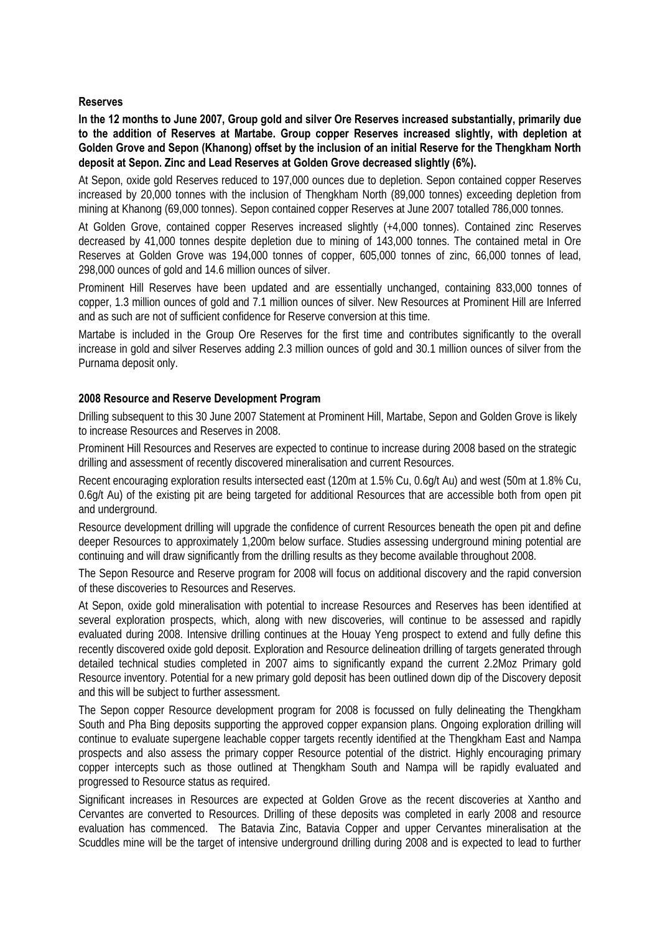### **Reserves**

**In the 12 months to June 2007, Group gold and silver Ore Reserves increased substantially, primarily due to the addition of Reserves at Martabe. Group copper Reserves increased slightly, with depletion at Golden Grove and Sepon (Khanong) offset by the inclusion of an initial Reserve for the Thengkham North deposit at Sepon. Zinc and Lead Reserves at Golden Grove decreased slightly (6%).** 

At Sepon, oxide gold Reserves reduced to 197,000 ounces due to depletion. Sepon contained copper Reserves increased by 20,000 tonnes with the inclusion of Thengkham North (89,000 tonnes) exceeding depletion from mining at Khanong (69,000 tonnes). Sepon contained copper Reserves at June 2007 totalled 786,000 tonnes.

At Golden Grove, contained copper Reserves increased slightly (+4,000 tonnes). Contained zinc Reserves decreased by 41,000 tonnes despite depletion due to mining of 143,000 tonnes. The contained metal in Ore Reserves at Golden Grove was 194,000 tonnes of copper, 605,000 tonnes of zinc, 66,000 tonnes of lead, 298,000 ounces of gold and 14.6 million ounces of silver.

Prominent Hill Reserves have been updated and are essentially unchanged, containing 833,000 tonnes of copper, 1.3 million ounces of gold and 7.1 million ounces of silver. New Resources at Prominent Hill are Inferred and as such are not of sufficient confidence for Reserve conversion at this time.

Martabe is included in the Group Ore Reserves for the first time and contributes significantly to the overall increase in gold and silver Reserves adding 2.3 million ounces of gold and 30.1 million ounces of silver from the Purnama deposit only.

### **2008 Resource and Reserve Development Program**

Drilling subsequent to this 30 June 2007 Statement at Prominent Hill, Martabe, Sepon and Golden Grove is likely to increase Resources and Reserves in 2008.

Prominent Hill Resources and Reserves are expected to continue to increase during 2008 based on the strategic drilling and assessment of recently discovered mineralisation and current Resources.

Recent encouraging exploration results intersected east (120m at 1.5% Cu, 0.6g/t Au) and west (50m at 1.8% Cu, 0.6g/t Au) of the existing pit are being targeted for additional Resources that are accessible both from open pit and underground.

Resource development drilling will upgrade the confidence of current Resources beneath the open pit and define deeper Resources to approximately 1,200m below surface. Studies assessing underground mining potential are continuing and will draw significantly from the drilling results as they become available throughout 2008.

The Sepon Resource and Reserve program for 2008 will focus on additional discovery and the rapid conversion of these discoveries to Resources and Reserves.

At Sepon, oxide gold mineralisation with potential to increase Resources and Reserves has been identified at several exploration prospects, which, along with new discoveries, will continue to be assessed and rapidly evaluated during 2008. Intensive drilling continues at the Houay Yeng prospect to extend and fully define this recently discovered oxide gold deposit. Exploration and Resource delineation drilling of targets generated through detailed technical studies completed in 2007 aims to significantly expand the current 2.2Moz Primary gold Resource inventory. Potential for a new primary gold deposit has been outlined down dip of the Discovery deposit and this will be subject to further assessment.

The Sepon copper Resource development program for 2008 is focussed on fully delineating the Thengkham South and Pha Bing deposits supporting the approved copper expansion plans. Ongoing exploration drilling will continue to evaluate supergene leachable copper targets recently identified at the Thengkham East and Nampa prospects and also assess the primary copper Resource potential of the district. Highly encouraging primary copper intercepts such as those outlined at Thengkham South and Nampa will be rapidly evaluated and progressed to Resource status as required.

Significant increases in Resources are expected at Golden Grove as the recent discoveries at Xantho and Cervantes are converted to Resources. Drilling of these deposits was completed in early 2008 and resource evaluation has commenced. The Batavia Zinc, Batavia Copper and upper Cervantes mineralisation at the Scuddles mine will be the target of intensive underground drilling during 2008 and is expected to lead to further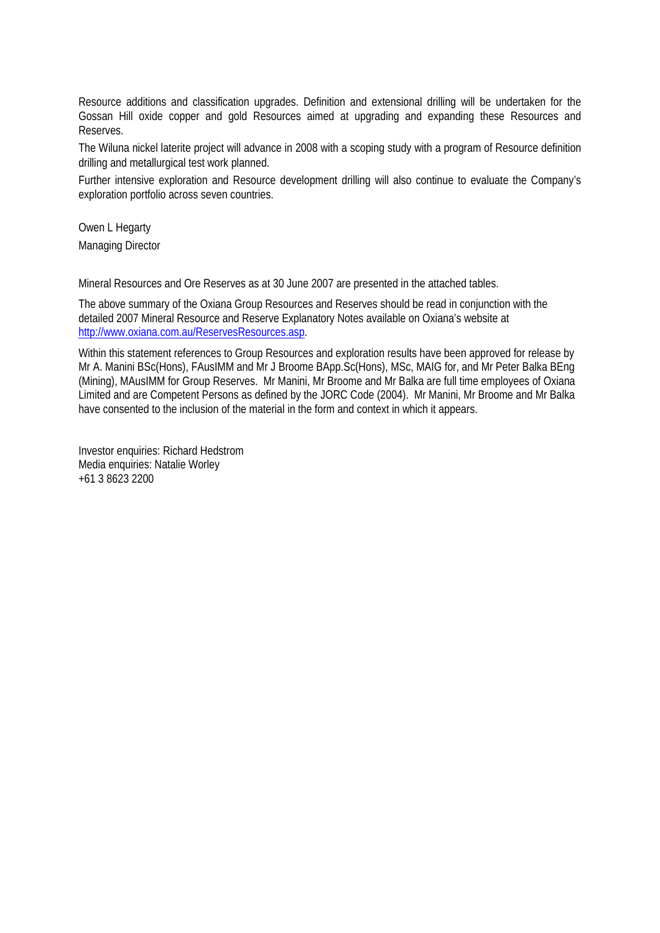Resource additions and classification upgrades. Definition and extensional drilling will be undertaken for the Gossan Hill oxide copper and gold Resources aimed at upgrading and expanding these Resources and Reserves.

The Wiluna nickel laterite project will advance in 2008 with a scoping study with a program of Resource definition drilling and metallurgical test work planned.

Further intensive exploration and Resource development drilling will also continue to evaluate the Company's exploration portfolio across seven countries.

Owen L Hegarty Managing Director

Mineral Resources and Ore Reserves as at 30 June 2007 are presented in the attached tables.

The above summary of the Oxiana Group Resources and Reserves should be read in conjunction with the detailed 2007 Mineral Resource and Reserve Explanatory Notes available on Oxiana's website at http://www.oxiana.com.au/ReservesResources.asp.

Within this statement references to Group Resources and exploration results have been approved for release by Mr A. Manini BSc(Hons), FAusIMM and Mr J Broome BApp.Sc(Hons), MSc, MAIG for, and Mr Peter Balka BEng (Mining), MAusIMM for Group Reserves. Mr Manini, Mr Broome and Mr Balka are full time employees of Oxiana Limited and are Competent Persons as defined by the JORC Code (2004). Mr Manini, Mr Broome and Mr Balka have consented to the inclusion of the material in the form and context in which it appears.

Investor enquiries: Richard Hedstrom Media enquiries: Natalie Worley +61 3 8623 2200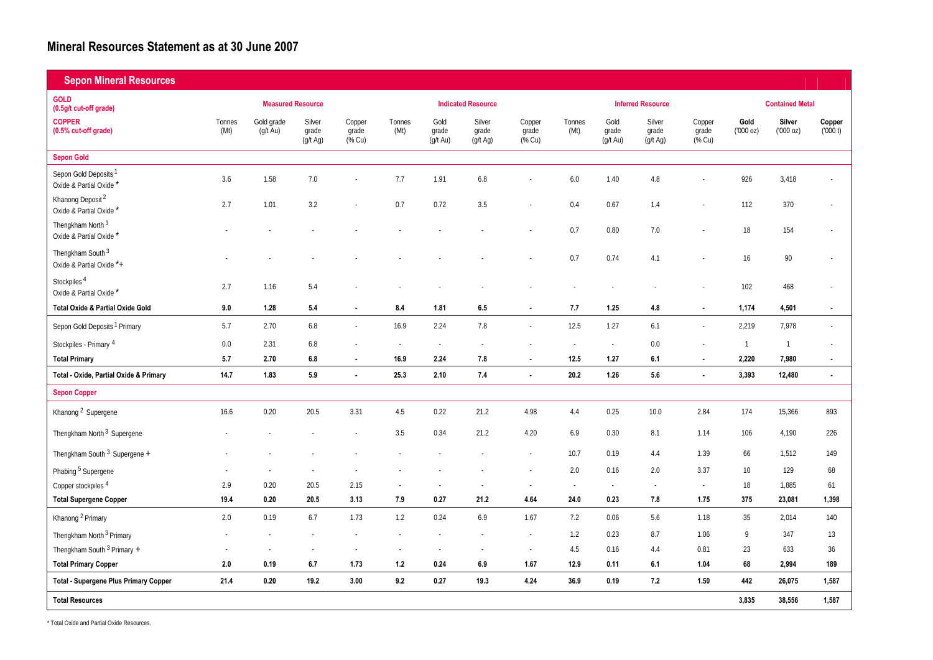## **Mineral Resources Statement as at 30 June 2007**

| <b>Sepon Mineral Resources</b>                              |                |                                  |                             |                           |                          |                           |                             |                           |                |                                           |                                  |                           |                  |                        |                          |
|-------------------------------------------------------------|----------------|----------------------------------|-----------------------------|---------------------------|--------------------------|---------------------------|-----------------------------|---------------------------|----------------|-------------------------------------------|----------------------------------|---------------------------|------------------|------------------------|--------------------------|
| <b>GOLD</b><br>(0.5g/t cut-off grade)                       |                | <b>Measured Resource</b>         |                             |                           |                          |                           | <b>Indicated Resource</b>   |                           |                |                                           | <b>Inferred Resource</b>         |                           |                  | <b>Contained Metal</b> |                          |
| <b>COPPER</b><br>(0.5% cut-off grade)                       | Tonnes<br>(Mt) | Gold grade<br>$(g/t \text{ Au})$ | Silver<br>grade<br>(g/t Ag) | Copper<br>grade<br>(% Cu) | Tonnes<br>(Mt)           | Gold<br>grade<br>(g/t Au) | Silver<br>grade<br>(g/t Ag) | Copper<br>grade<br>(% Cu) | Tonnes<br>(Mt) | Gold<br>grade<br>$(\bar{g}/t \text{ Au})$ | Silver<br>grade<br>$(g/t \, Ag)$ | Copper<br>grade<br>(% Cu) | Gold<br>(000 oz) | Silver<br>(000 oz)     | Copper<br>(000 t)        |
| <b>Sepon Gold</b>                                           |                |                                  |                             |                           |                          |                           |                             |                           |                |                                           |                                  |                           |                  |                        |                          |
| Sepon Gold Deposits <sup>1</sup><br>Oxide & Partial Oxide * | 3.6            | 1.58                             | 7.0                         |                           | 7.7                      | 1.91                      | 6.8                         |                           | 6.0            | 1.40                                      | 4.8                              |                           | 926              | 3,418                  |                          |
| Khanong Deposit <sup>2</sup><br>Oxide & Partial Oxide *     | 2.7            | 1.01                             | 3.2                         |                           | 0.7                      | 0.72                      | 3.5                         |                           | 0.4            | 0.67                                      | 1.4                              |                           | 112              | 370                    |                          |
| Thengkham North <sup>3</sup><br>Oxide & Partial Oxide       |                |                                  |                             |                           |                          |                           |                             |                           | 0.7            | 0.80                                      | 7.0                              |                           | 18               | 154                    |                          |
| Thengkham South <sup>3</sup><br>Oxide & Partial Oxide *+    |                |                                  |                             |                           |                          |                           |                             |                           | 0.7            | 0.74                                      | 4.1                              |                           | 16               | 90                     |                          |
| Stockpiles <sup>4</sup><br>Oxide & Partial Oxide *          | 2.7            | 1.16                             | 5.4                         |                           |                          |                           |                             |                           |                |                                           |                                  |                           | 102              | 468                    |                          |
| Total Oxide & Partial Oxide Gold                            | 9.0            | 1.28                             | 5.4                         | $\blacksquare$            | 8.4                      | 1.81                      | 6.5                         |                           | 7.7            | 1.25                                      | 4.8                              | $\overline{\phantom{a}}$  | 1,174            | 4,501                  | $\blacksquare$           |
| Sepon Gold Deposits <sup>1</sup> Primary                    | 5.7            | 2.70                             | 6.8                         | $\sim$                    | 16.9                     | 2.24                      | 7.8                         |                           | 12.5           | 1.27                                      | 6.1                              |                           | 2,219            | 7,978                  | $\overline{\phantom{a}}$ |
| Stockpiles - Primary <sup>4</sup>                           | 0.0            | 2.31                             | 6.8                         |                           | $\overline{\phantom{a}}$ | $\sim$                    |                             |                           | $\sim$         | $\sim$                                    | 0.0                              |                           | $\overline{1}$   | $\overline{1}$         | ٠                        |
| <b>Total Primary</b>                                        | 5.7            | 2.70                             | 6.8                         | $\blacksquare$            | 16.9                     | 2.24                      | 7.8                         |                           | 12.5           | 1.27                                      | 6.1                              | $\overline{\phantom{a}}$  | 2,220            | 7,980                  | $\blacksquare$           |
| Total - Oxide, Partial Oxide & Primary                      | 14.7           | 1.83                             | 5.9                         | $\blacksquare$            | 25.3                     | 2.10                      | 7.4                         | $\sim$                    | 20.2           | 1.26                                      | 5.6                              | $\blacksquare$            | 3,393            | 12,480                 | $\blacksquare$           |
| <b>Sepon Copper</b>                                         |                |                                  |                             |                           |                          |                           |                             |                           |                |                                           |                                  |                           |                  |                        |                          |
| Khanong <sup>2</sup> Supergene                              | 16.6           | 0.20                             | 20.5                        | 3.31                      | 4.5                      | 0.22                      | 21.2                        | 4.98                      | 4.4            | 0.25                                      | 10.0                             | 2.84                      | 174              | 15,366                 | 893                      |
| Thengkham North <sup>3</sup> Supergene                      |                |                                  |                             |                           | 3.5                      | 0.34                      | 21.2                        | 4.20                      | 6.9            | $0.30\,$                                  | 8.1                              | 1.14                      | 106              | 4,190                  | 226                      |
| Thengkham South 3 Supergene +                               |                |                                  |                             |                           |                          |                           |                             |                           | 10.7           | 0.19                                      | 4.4                              | 1.39                      | 66               | 1,512                  | 149                      |
| Phabing <sup>5</sup> Supergene                              |                |                                  |                             |                           |                          |                           |                             |                           | 2.0            | 0.16                                      | 2.0                              | 3.37                      | 10               | 129                    | 68                       |
| Copper stockpiles <sup>4</sup>                              | 2.9            | 0.20                             | 20.5                        | 2.15                      |                          |                           |                             |                           | ÷.             | $\sim$                                    | $\overline{\phantom{a}}$         | $\sim$                    | 18               | 1,885                  | 61                       |
| <b>Total Supergene Copper</b>                               | 19.4           | 0.20                             | 20.5                        | 3.13                      | 7.9                      | 0.27                      | 21.2                        | 4.64                      | 24.0           | 0.23                                      | 7.8                              | 1.75                      | 375              | 23,081                 | 1,398                    |
| Khanong <sup>2</sup> Primary                                | 2.0            | 0.19                             | 6.7                         | 1.73                      | 1.2                      | 0.24                      | 6.9                         | 1.67                      | 7.2            | 0.06                                      | 5.6                              | 1.18                      | 35               | 2,014                  | 140                      |
| Thengkham North <sup>3</sup> Primary                        |                |                                  |                             |                           |                          |                           |                             |                           | 1.2            | 0.23                                      | 8.7                              | 1.06                      | 9                | 347                    | 13                       |
| Thengkham South 3 Primary +                                 |                |                                  |                             |                           |                          | $\sim$                    | $\overline{\phantom{a}}$    |                           | 4.5            | 0.16                                      | 4.4                              | 0.81                      | 23               | 633                    | 36                       |
| <b>Total Primary Copper</b>                                 | 2.0            | 0.19                             | 6.7                         | 1.73                      | 1.2                      | 0.24                      | 6.9                         | 1.67                      | 12.9           | 0.11                                      | 6.1                              | 1.04                      | 68               | 2,994                  | 189                      |
| <b>Total - Supergene Plus Primary Copper</b>                | 21.4           | 0.20                             | 19.2                        | 3.00                      | 9.2                      | 0.27                      | 19.3                        | 4.24                      | 36.9           | 0.19                                      | 7.2                              | 1.50                      | 442              | 26,075                 | 1,587                    |
| <b>Total Resources</b>                                      |                |                                  |                             |                           |                          |                           |                             |                           |                |                                           |                                  |                           | 3,835            | 38,556                 | 1,587                    |

\* Total Oxide and Partial Oxide Resources.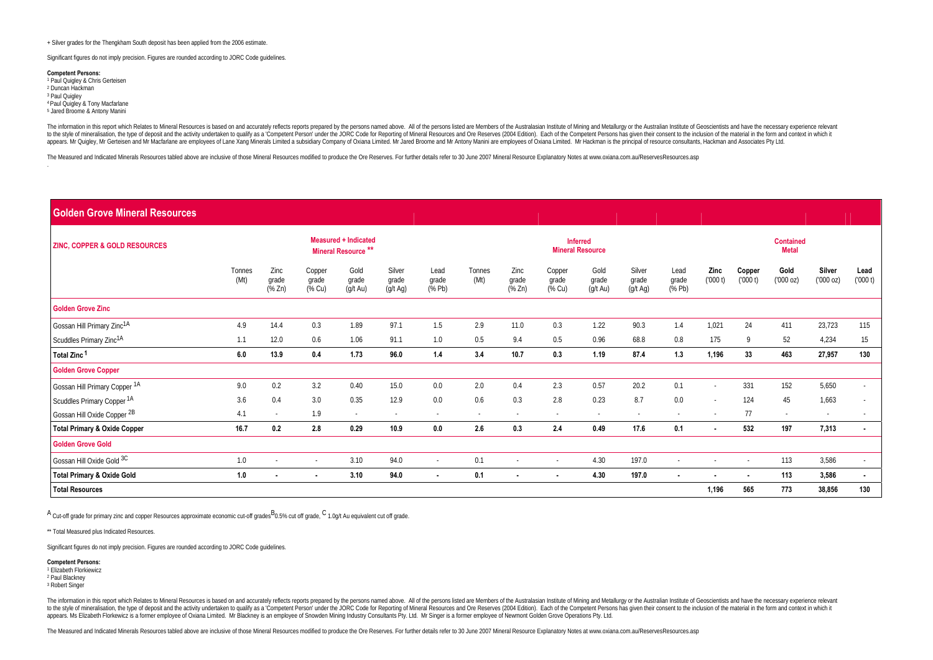+ Silver grades for the Thengkham South deposit has been applied from the 2006 estimate.

Significant figures do not imply precision. Figures are rounded according to JORC Code guidelines.

**Competent Persons:**  1 Paul Quigley & Chris Gerteisen 2 Duncan Hackman <sup>3</sup> Paul Quigley 4 Paul Quigley & Tony Macfarlane 5 Jared Broome & Antony Manini

The information in this report which Relates to Mineral Resources is based on and accurately reflects reports prepared by the persons named above. All of the persons listed are Members of the Australasian Institute of Mini to the style of mineralisation, the type of deposit and the activity underaken to qualify as a "Competent Person" under the JORC Code for Reporting of Mineral Resources and Ore Reserves (2004 Edition). Each of the Competen appears. Mr Quigley, Mr Gerleisen and Mr Macfarlane are employees of Lane Xang Minerals Limited a subsidiary Company of Oxiana Limited. Mr Jared Broome and Mr Antony Manini are employees of Oxiana Limited. Mr Hackman is th

The Measured and Indicated Minerals Resources tabled above are inclusive of those Mineral Resources modified to produce the Ore Reserves. For further details refer to 30 June 2007 Mineral Resource Splanatory Notes at www.o

#### **Golden Grove Mineral Resources**

| <b>ZINC, COPPER &amp; GOLD RESOURCES</b> |                |                                               |                           | <b>Measured + Indicated</b><br>Mineral Resource <sup>**</sup> |                             |                                            |                |                                               |                           | <b>Inferred</b><br><b>Mineral Resource</b> |                             |                         |                 |                   | <b>Contained</b><br><b>Metal</b> |                   |                 |
|------------------------------------------|----------------|-----------------------------------------------|---------------------------|---------------------------------------------------------------|-----------------------------|--------------------------------------------|----------------|-----------------------------------------------|---------------------------|--------------------------------------------|-----------------------------|-------------------------|-----------------|-------------------|----------------------------------|-------------------|-----------------|
|                                          | Tonnes<br>(Mt) | Zinc<br>grade<br>$(% \mathbb{R}^2)$ $(\%$ Zn) | Copper<br>grade<br>(% Cu) | Gold<br>grade<br>$(g/t \text{ Au})$                           | Silver<br>grade<br>(g/t Ag) | Lead<br>grade<br>$(% \mathbb{R}^2)$ (% Pb) | Tonnes<br>(Mt) | Zinc<br>grade<br>$(% \mathbb{R}^2)$ $(\%$ Zn) | Copper<br>grade<br>(% Cu) | Gold<br>grade<br>$(g/t \text{ Au})$        | Silver<br>grade<br>(g/t Ag) | Lead<br>grade<br>(% Pb) | Zinc<br>(000 t) | Copper<br>(000 t) | Gold<br>(000 oz)                 | Silver<br>(00000) | Lead<br>(000 t) |
| <b>Golden Grove Zinc</b>                 |                |                                               |                           |                                                               |                             |                                            |                |                                               |                           |                                            |                             |                         |                 |                   |                                  |                   |                 |
| Gossan Hill Primary Zinc <sup>1A</sup>   | 4.9            | 14.4                                          | 0.3                       | 1.89                                                          | 97.1                        | 1.5                                        | 2.9            | 11.0                                          | 0.3                       | 1.22                                       | 90.3                        | 1.4                     | 1,021           | 24                | 411                              | 23,723            | 115             |
| Scuddles Primary Zinc1A                  | 1.1            | 12.0                                          | 0.6                       | 1.06                                                          | 91.1                        | 1.0                                        | 0.5            | 9.4                                           | 0.5                       | 0.96                                       | 68.8                        | 0.8                     | 175             | 9                 | 52                               | 4,234             | 15              |
| Total Zinc <sup>1</sup>                  | 6.0            | 13.9                                          | 0.4                       | 1.73                                                          | 96.0                        | 1.4                                        | 3.4            | 10.7                                          | 0.3                       | 1.19                                       | 87.4                        | 1.3                     | 1,196           | 33                | 463                              | 27,957            | 130             |
| <b>Golden Grove Copper</b>               |                |                                               |                           |                                                               |                             |                                            |                |                                               |                           |                                            |                             |                         |                 |                   |                                  |                   |                 |
| Gossan Hill Primary Copper 1A            | 9.0            | 0.2                                           | 3.2                       | 0.40                                                          | 15.0                        | 0.0                                        | 2.0            | 0.4                                           | 2.3                       | 0.57                                       | 20.2                        | 0.1                     |                 | 331               | 152                              | 5,650             | $\sim$          |
| Scuddles Primary Copper <sup>1A</sup>    | 3.6            | 0.4                                           | 3.0                       | 0.35                                                          | 12.9                        | 0.0                                        | 0.6            | 0.3                                           | 2.8                       | 0.23                                       | 8.7                         | 0.0                     | $\sim$          | 124               | 45                               | 1,663             |                 |
| Gossan Hill Oxide Copper 2B              | 4.1            | $\overline{\phantom{a}}$                      | 1.9                       | $\sim$                                                        | $\sim$                      | $\sim$                                     | $\sim$         | $\sim$                                        | $\sim$                    | $\sim$                                     | $\sim$                      | $\sim$                  |                 | 77                | $\sim$                           | $\sim$            |                 |
| <b>Total Primary &amp; Oxide Copper</b>  | 16.7           | 0.2                                           | 2.8                       | 0.29                                                          | 10.9                        | 0.0                                        | 2.6            | 0.3                                           | 2.4                       | 0.49                                       | 17.6                        | 0.1                     | $\blacksquare$  | 532               | 197                              | 7,313             | $\blacksquare$  |
| <b>Golden Grove Gold</b>                 |                |                                               |                           |                                                               |                             |                                            |                |                                               |                           |                                            |                             |                         |                 |                   |                                  |                   |                 |
| Gossan Hill Oxide Gold <sup>3C</sup>     | 1.0            | $\sim$                                        | $\sim$                    | 3.10                                                          | 94.0                        | $\sim$                                     | 0.1            |                                               | $\sim$                    | 4.30                                       | 197.0                       | $\sim$                  | $\sim$          | $\sim$            | 113                              | 3,586             | $\sim$          |
| <b>Total Primary &amp; Oxide Gold</b>    | 1.0            | $\blacksquare$                                | $\blacksquare$            | 3.10                                                          | 94.0                        | $\blacksquare$                             | 0.1            | $\sim$                                        | $\blacksquare$            | 4.30                                       | 197.0                       | $\blacksquare$          | $\blacksquare$  | $\blacksquare$    | 113                              | 3,586             | $\blacksquare$  |
| <b>Total Resources</b>                   |                |                                               |                           |                                                               |                             |                                            |                |                                               |                           |                                            |                             |                         | 1,196           | 565               | 773                              | 38,856            | 130             |

A Cut-off grade for primary zinc and copper Resources approximate economic cut-off grades<sup>B</sup>0.5% cut off grade, C 1.0g/t Au equivalent cut off grade.

\*\* Total Measured plus Indicated Resources.

Significant figures do not imply precision. Figures are rounded according to JORC Code guidelines.

#### **Competent Persons:**

1 Elizabeth Florkiewicz 2 Paul Blackney

3 Robert Singer

The information in this report which Relates to Mineral Resources is based on and accurately reflects reports prepared by the persons named above. All of the persons listed are Members of the Australasian Institute of Mini to the style of mineralisation, the type of deposit and the activity underaken to qualify as a 'Competent Person' under the JORC Code for Reporting of Mineral Resources and Ore Reserves (2004 Edition). Each of the Competen appears. Ms Elizabeth Florkewicz is a former employee of Oxiana Limited. Mr Blackney is an employee of Snowden Mining Industry Consultants Pty. Ltd. Mr Singer is a former employee of Newmont Golden Grove Operations Pty. Lt

The Measured and Indicated Minerals Resources tabled above are inclusive of those Mineral Resources modified to produce the Ore Reserves. For further details refer to 30 June 2007 Mineral Resource Stolanatory Notes at www.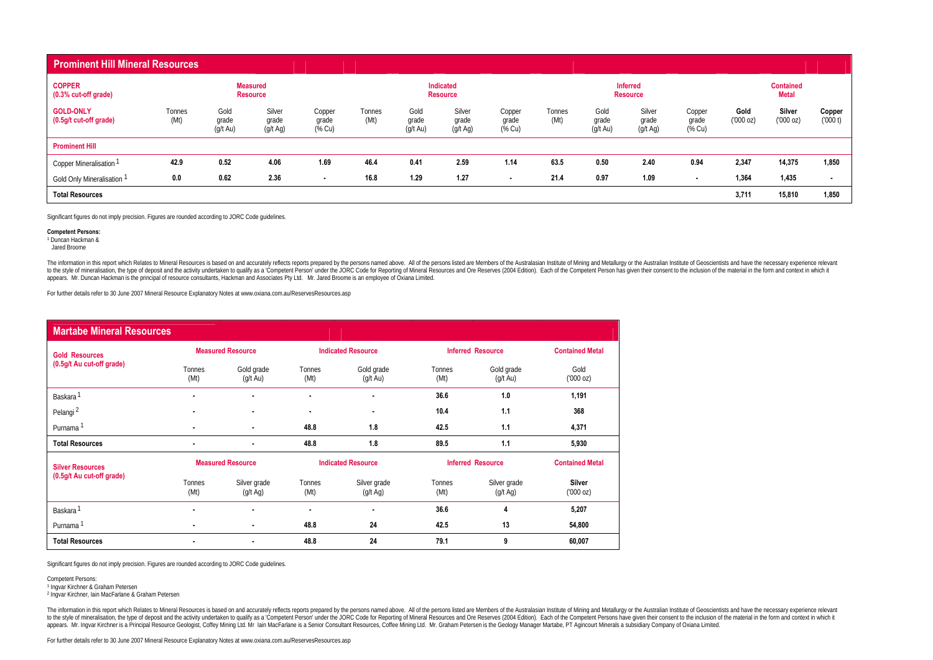| <b>Prominent Hill Mineral Resources</b>    |                |                                     |                                    |                           |                |                                     |                              |                           |                |                                     |                                    |                           |                  |                                  |                   |
|--------------------------------------------|----------------|-------------------------------------|------------------------------------|---------------------------|----------------|-------------------------------------|------------------------------|---------------------------|----------------|-------------------------------------|------------------------------------|---------------------------|------------------|----------------------------------|-------------------|
| <b>COPPER</b><br>(0.3% cut-off grade)      |                |                                     | <b>Measured</b><br><b>Resource</b> |                           |                |                                     | Indicated<br><b>Resource</b> |                           |                |                                     | <b>Inferred</b><br><b>Resource</b> |                           |                  | <b>Contained</b><br><b>Metal</b> |                   |
| <b>GOLD-ONLY</b><br>(0.5g/t cut-off grade) | Tonnes<br>(Mt) | Gold<br>grade<br>$(g/t \text{ Au})$ | Silver<br>grade<br>(g/t Ag)        | Copper<br>grade<br>(% Cu) | Tonnes<br>(Mt) | Gold<br>grade<br>$(g/t \text{ Au})$ | Silver<br>grade<br>(g/t Ag)  | Copper<br>grade<br>(% Cu) | Tonnes<br>(Mt) | Gold<br>grade<br>$(g/t \text{ Au})$ | Silver<br>grade<br>(g/t Ag)        | Copper<br>grade<br>(% Cu) | Gold<br>(000 oz) | Silver<br>('000 oz)              | Copper<br>(000 t) |
| <b>Prominent Hill</b>                      |                |                                     |                                    |                           |                |                                     |                              |                           |                |                                     |                                    |                           |                  |                                  |                   |
| Copper Mineralisation <sup>1</sup>         | 42.9           | 0.52                                | 4.06                               | 1.69                      | 46.4           | 0.41                                | 2.59                         | 1.14                      | 63.5           | 0.50                                | 2.40                               | 0.94                      | 2,347            | 14,375                           | 1,850             |
| Gold Only Mineralisation                   | 0.0            | 0.62                                | 2.36                               | $\blacksquare$            | 16.8           | 1.29                                | 1.27                         | $\blacksquare$            | 21.4           | 0.97                                | 1.09                               | $\overline{\phantom{a}}$  | 1,364            | 1,435                            |                   |
| <b>Total Resources</b>                     |                |                                     |                                    |                           |                |                                     |                              |                           |                |                                     |                                    |                           | 3,711            | 15,810                           | 1,850             |

Significant figures do not imply precision. Figures are rounded according to JORC Code guidelines.

#### **Competent Persons:**

1 Duncan Hackman &

Jared Broome

The information in this report which Relates to Mineral Resources is based on and accurately reflects reports prepared by the persons named above. All of the persons listed are Members of the Australasian Institute of Mini to the style of mineralisation, the type of deposit and the activity underaken to qualify as a "Competent Person" under the JORC Code for Reporting of Mineral Resources and Ore Reserves (2004 Edition). Each of the Competen appears. Mr. Duncan Hackman is the principal of resource consultants, Hackman and Associates Pty Ltd. Mr. Jared Broome is an employee of Oxiana Limited.

For further details refer to 30 June 2007 Mineral Resource Explanatory Notes at www.oxiana.com.au/ReservesResources.asp

| <b>Martabe Mineral Resources</b> |                |                                  |                          |                           |                |                                  |                        |
|----------------------------------|----------------|----------------------------------|--------------------------|---------------------------|----------------|----------------------------------|------------------------|
| <b>Gold Resources</b>            |                | <b>Measured Resource</b>         |                          | <b>Indicated Resource</b> |                | <b>Inferred Resource</b>         | <b>Contained Metal</b> |
| (0.5g/t Au cut-off grade)        | Tonnes<br>(Mt) | Gold grade<br>$(g/t \text{ Au})$ | Tonnes<br>(Mt)           | Gold grade<br>(g/t Au)    | Tonnes<br>(Mt) | Gold grade<br>$(q/t \text{ Au})$ | Gold<br>(000 oz)       |
| <b>Baskara</b>                   | ۰              | ۰                                | $\overline{\phantom{0}}$ |                           | 36.6           | 1.0                              | 1,191                  |
| Pelangi <sup>2</sup>             |                | ٠                                | $\blacksquare$           | $\overline{\phantom{a}}$  | 10.4           | 1.1                              | 368                    |
| Purnama                          | $\blacksquare$ | ٠                                | 48.8                     | 1.8                       | 42.5           | 1.1                              | 4,371                  |
| <b>Total Resources</b>           | $\blacksquare$ | ٠                                | 48.8                     | 1.8                       | 89.5           | 1.1                              | 5,930                  |
| <b>Silver Resources</b>          |                | <b>Measured Resource</b>         |                          | <b>Indicated Resource</b> |                | <b>Inferred Resource</b>         | <b>Contained Metal</b> |

| <b>Silver Resources</b>   |                | Measured Resource                  |                | <b>Illuicated Resource</b>         |                | <b>INTERNATION</b>                 | <b>Contained Metal</b>     |
|---------------------------|----------------|------------------------------------|----------------|------------------------------------|----------------|------------------------------------|----------------------------|
| (0.5g/t Au cut-off grade) | Tonnes<br>(Mt) | Silver grade<br>$(q/t \text{ Aq})$ | Tonnes<br>(Mt) | Silver grade<br>$(q/t \text{ Aq})$ | Tonnes<br>(Mt) | Silver grade<br>$(q/t \text{ Aq})$ | <b>Silver</b><br>('000 oz) |
| <b>Baskara</b>            |                | $\blacksquare$                     | $\blacksquare$ |                                    | 36.6           |                                    | 5,207                      |
| Purnama                   |                | $\sim$                             | 48.8           | 24                                 | 42.5           | 13                                 | 54.800                     |
| <b>Total Resources</b>    |                | $\overline{\phantom{a}}$           | 48.8           | 24                                 | 79.1           | o                                  | 60,007                     |

Significant figures do not imply precision. Figures are rounded according to JORC Code guidelines.

Competent Persons:

1 Ingvar Kirchner & Graham Petersen

2 Ingvar Kirchner, Iain MacFarlane & Graham Petersen

The information in this report which Relates to Mineral Resources is based on and accurately reflects reports prepared by the persons named above. All of the persons listed are Members of the Australian Institute of Mining appears. Mr. Ingvar Kirchner is a Principal Resource Geologist, Coffey Mining Ltd. Mr Iain MacFarlane is a Senior Consultant Resources, Coffee Mining Ltd. Mr. Graham Petersen is the Geology Manager Martabe, PT Agincourt Mi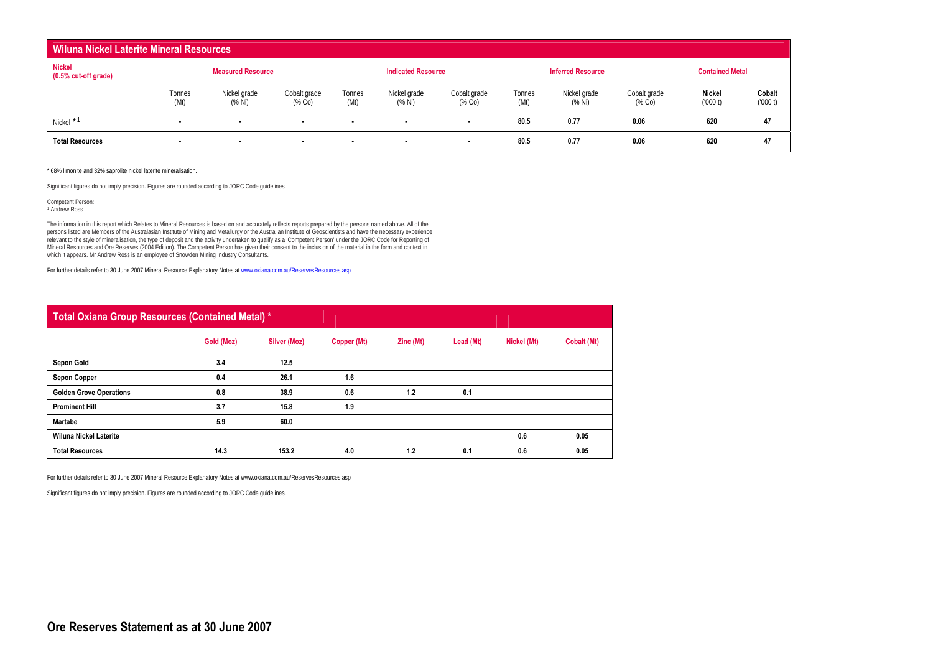| <b>Wiluna Nickel Laterite Mineral Resources</b> |                |                          |                           |                          |                           |                          |                |                          |                           |                          |                   |
|-------------------------------------------------|----------------|--------------------------|---------------------------|--------------------------|---------------------------|--------------------------|----------------|--------------------------|---------------------------|--------------------------|-------------------|
| Nickel<br>$(0.5\% \text{ cut-off grade})$       |                | <b>Measured Resource</b> |                           |                          | <b>Indicated Resource</b> |                          |                | <b>Inferred Resource</b> |                           | <b>Contained Metal</b>   |                   |
|                                                 | Tonnes<br>(Mt) | Nickel grade<br>(% Ni)   | Cobalt grade<br>$(\%$ Co) | Tonnes<br>(Mt)           | Nickel grade<br>(% Ni)    | Cobalt grade<br>(% Co)   | Tonnes<br>(Mt) | Nickel grade<br>(% Ni)   | Cobalt grade<br>$(\%$ Co) | <b>Nickel</b><br>(000 t) | Cobalt<br>(000 t) |
| Nickel <sup>*</sup>                             | $\sim$         | $\sim$                   | $\blacksquare$            | $\overline{\phantom{a}}$ | $\blacksquare$            | $\overline{\phantom{a}}$ | 80.5           | 0.77                     | 0.06                      | 620                      | 47                |
| <b>Total Resources</b>                          | $\blacksquare$ | $\blacksquare$           | $\sim$                    | $\overline{\phantom{a}}$ | $\blacksquare$            | $\overline{\phantom{a}}$ | 80.5           | 0.77                     | 0.06                      | 620                      | 47                |

\* 68% limonite and 32% saprolite nickel laterite mineralisation.

Significant figures do not imply precision. Figures are rounded according to JORC Code guidelines.

Competent Person: 1 Andrew Ross

The information in this report which Relates to Mineral Resources is based on and accurately reflects reports prepared by the persons named above. All of the<br>persons listed are Members of the Australasian Institute of Mini relevant to the style of mineralisation, the type of deposit and the activity undertaken to qualify as a 'Competent Person' under the JORC Code for Reporting of Mineral Resources and Ore Reserves (2004 Edition). The Competent Person has given their consent to the inclusion of the material in the form and context in which it appears. Mr Andrew Ross is an employee of Snowden Mining Industry Consultants.

For further details refer to 30 June 2007 Mineral Resource Explanatory Notes at www.oxiana.com.au/ReservesResources.asp

| <b>Total Oxiana Group Resources (Contained Metal) *</b> |            |              |             |           |           |             |             |
|---------------------------------------------------------|------------|--------------|-------------|-----------|-----------|-------------|-------------|
|                                                         | Gold (Moz) | Silver (Moz) | Copper (Mt) | Zinc (Mt) | Lead (Mt) | Nickel (Mt) | Cobalt (Mt) |
| Sepon Gold                                              | 3.4        | 12.5         |             |           |           |             |             |
| <b>Sepon Copper</b>                                     | 0.4        | 26.1         | 1.6         |           |           |             |             |
| <b>Golden Grove Operations</b>                          | 0.8        | 38.9         | 0.6         | 1.2       | 0.1       |             |             |
| <b>Prominent Hill</b>                                   | 3.7        | 15.8         | 1.9         |           |           |             |             |
| <b>Martabe</b>                                          | 5.9        | 60.0         |             |           |           |             |             |
| <b>Wiluna Nickel Laterite</b>                           |            |              |             |           |           | 0.6         | 0.05        |
| <b>Total Resources</b>                                  | 14.3       | 153.2        | 4.0         | 1.2       | 0.1       | 0.6         | 0.05        |

For further details refer to 30 June 2007 Mineral Resource Explanatory Notes at www.oxiana.com.au/ReservesResources.asp

Significant figures do not imply precision. Figures are rounded according to JORC Code guidelines.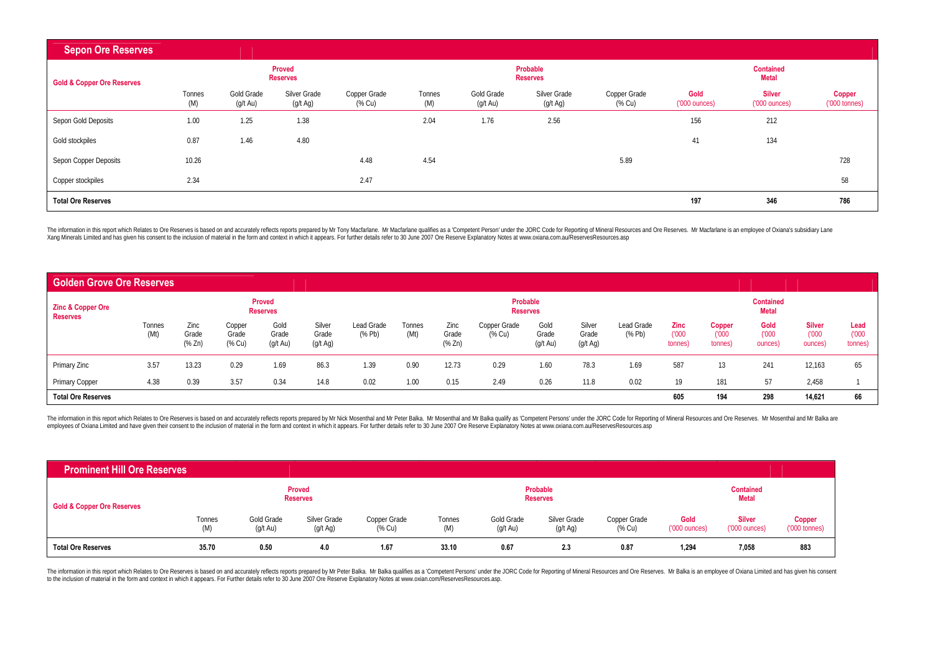| <b>Sepon Ore Reserves</b>             |               |                        |                                  |                        |               |                        |                             |                        |                                |                                         |                                  |
|---------------------------------------|---------------|------------------------|----------------------------------|------------------------|---------------|------------------------|-----------------------------|------------------------|--------------------------------|-----------------------------------------|----------------------------------|
| <b>Gold &amp; Copper Ore Reserves</b> |               |                        | <b>Proved</b><br><b>Reserves</b> |                        |               |                        | Probable<br><b>Reserves</b> |                        |                                | <b>Contained</b><br><b>Metal</b>        |                                  |
|                                       | Tonnes<br>(M) | Gold Grade<br>(g/t Au) | Silver Grade<br>(g/t Ag)         | Copper Grade<br>(% Cu) | Tonnes<br>(M) | Gold Grade<br>(g/t Au) | Silver Grade<br>(g/t Ag)    | Copper Grade<br>(% Cu) | Gold<br>$(000 \text{ ounces})$ | <b>Silver</b><br>$(000 \text{ ounces})$ | Copper<br>$(000 \text{ tonnes})$ |
| Sepon Gold Deposits                   | 1.00          | 1.25                   | 1.38                             |                        | 2.04          | 1.76                   | 2.56                        |                        | 156                            | 212                                     |                                  |
| Gold stockpiles                       | 0.87          | 1.46                   | 4.80                             |                        |               |                        |                             |                        | 41                             | 134                                     |                                  |
| Sepon Copper Deposits                 | 10.26         |                        |                                  | 4.48                   | 4.54          |                        |                             | 5.89                   |                                |                                         | 728                              |
| Copper stockpiles                     | 2.34          |                        |                                  | 2.47                   |               |                        |                             |                        |                                |                                         | 58                               |
| <b>Total Ore Reserves</b>             |               |                        |                                  |                        |               |                        |                             |                        | 197                            | 346                                     | 786                              |

The information in this report which Relates to Ore Reserves is based on and accurately reflects reports prepared by Mr Tony Macfarlane. Mr Macfarlane qualifies as a 'Competent Person' under the JORC Code for Reporting of Xang Minerals Limited and has given his consent to the inclusion of material in the form and context in which it appears. For further details refer to 30 June 2007 Ore Reserve Explanatory Notes at www.oxiana.com.au/Reserve

| <b>Golden Grove Ore Reserves</b>                |                |                                               |                           |                                     |                             |                  |                |                                               |                             |                                     |                             |                                            |                                 |                            |                                  |                                   |                          |
|-------------------------------------------------|----------------|-----------------------------------------------|---------------------------|-------------------------------------|-----------------------------|------------------|----------------|-----------------------------------------------|-----------------------------|-------------------------------------|-----------------------------|--------------------------------------------|---------------------------------|----------------------------|----------------------------------|-----------------------------------|--------------------------|
| <b>Zinc &amp; Copper Ore</b><br><b>Reserves</b> |                |                                               |                           | Proved<br><b>Reserves</b>           |                             |                  |                |                                               | Probable<br><b>Reserves</b> |                                     |                             |                                            |                                 |                            | <b>Contained</b><br><b>Metal</b> |                                   |                          |
|                                                 | Tonnes<br>(Mt) | Zinc<br>Grade<br>$(% \mathbb{R}^2)$ $(\%$ Zn) | Copper<br>Grade<br>(% Cu) | Gold<br>Grade<br>$(g/t \text{ Au})$ | Silver<br>Grade<br>(g/t Ag) | Lead Grade<br>(% | Tonnes<br>(Mt) | Zinc<br>Grade<br>$(% \mathbb{R}^2)$ $(\%$ Zn) | Copper Grade<br>% Cu)       | Gold<br>Grade<br>$(g/t \text{ Au})$ | Silver<br>Grade<br>(g/t Ag) | Lead Grade<br>$(% \mathbb{R}^2)$ $(\%$ Pb) | <b>Zinc</b><br>(000)<br>tonnes) | Copper<br>(000)<br>tonnes) | Gold<br>(000)<br>ounces)         | <b>Silver</b><br>(000)<br>ounces) | Lead<br>(000)<br>tonnes) |
| Primary Zinc                                    | 3.57           | 13.23                                         | 0.29                      | 1.69                                | 86.3                        | 1.39             | 0.90           | 12.73                                         | 0.29                        | 1.60                                | 78.3                        | 1.69                                       | 587                             | 13                         | 241                              | 12,163                            | 65                       |
| <b>Primary Copper</b>                           | 4.38           | 0.39                                          | 3.57                      | 0.34                                | 14.8                        | 0.02             | 1.00           | 0.15                                          | 2.49                        | 0.26                                | 11.8                        | 0.02                                       | 19                              | 181                        | 57                               | 2,458                             |                          |
| <b>Total Ore Reserves</b>                       |                |                                               |                           |                                     |                             |                  |                |                                               |                             |                                     |                             |                                            | 605                             | 194                        | 298                              | 14,621                            | 66                       |

The information in this report which Relates to Ore Reserves is based on and accurately reflects reports prepared by Mr Nick Mosenthal and Mr Peter Balka. Mr Mosenthal and Mr Balka qualify as 'Competent Persons' under the

| <b>Prominent Hill Ore Reserves</b>    |               |                        |                                  |                        |               |                                  |                             |                        |                       |                                         |                                     |
|---------------------------------------|---------------|------------------------|----------------------------------|------------------------|---------------|----------------------------------|-----------------------------|------------------------|-----------------------|-----------------------------------------|-------------------------------------|
| <b>Gold &amp; Copper Ore Reserves</b> |               |                        | <b>Proved</b><br><b>Reserves</b> |                        |               |                                  | Probable<br><b>Reserves</b> |                        |                       | <b>Contained</b><br>Metal               |                                     |
|                                       | Tonnes<br>(M) | Gold Grade<br>(g/t Au) | Silver Grade<br>(g/t Ag)         | Copper Grade<br>(% Cu) | Tonnes<br>(M) | Gold Grade<br>$(g/t \text{ Au})$ | Silver Grade<br>(g/t Ag)    | Copper Grade<br>(% Cu) | Gold<br>('000 ounces) | <b>Silver</b><br>$(000 \text{ ounces})$ | <b>Copper</b><br>$(000 \t{tonnes})$ |
| <b>Total Ore Reserves</b>             | 35.70         | 0.50                   | 4.0                              | 1.67                   | 33.10         | 0.67                             | 2.3                         | 0.87                   | 1,294                 | 7,058                                   | 883                                 |

The information in this report which Relates to Ore Reserves is based on and accurately reflects reports prepared by Mr Peter Balka. Mr Balka qualifies as a 'Competent Persons' under the JORC Code for Reporting of Mineral to the inclusion of material in the form and context in which it appears. For Further details refer to 30 June 2007 Ore Reserve Explanatory Notes at www.oxian.com/ReservesResources.asp.